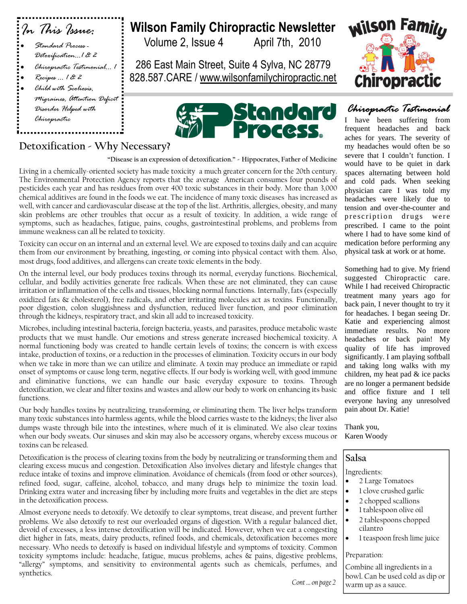| : In This Issue:                                                                                                    |  |
|---------------------------------------------------------------------------------------------------------------------|--|
| Standard Process -<br>Detoxification1 & 2<br>Chiropractic Testimonial 1<br>Recipes … 1 & 2<br>Child with Scoliosis, |  |
| Migraines, Attention Deficit<br>Disorder Helped with<br>Chiropractic                                                |  |
| Detoxification - Why Ne                                                                                             |  |

**Wilson Family Chiropractic Newsletter**

Volume 2, Issue 4 April 7th, 2010

286 East Main Street, Suite 4 Sylva, NC 28779 828.587.CARE / www.wilsonfamilychiropractic.net



# **Why Necessary?**

**"Disease is an expression of detoxification." - Hippocrates, Father of Medicine**

Living in a chemically-oriented society has made toxicity a much greater concern for the 20th century. The Environmental Protection Agency reports that the average American consumes four pounds of pesticides each year and has residues from over 400 toxic substances in their body. More than 3,000 chemical additives are found in the foods we eat. The incidence of many toxic diseases has increased as well, with cancer and cardiovascular disease at the top of the list. Arthritis, allergies, obesity, and many skin problems are other troubles that occur as a result of toxicity. In addition, a wide range of symptoms, such as headaches, fatigue, pains, coughs, gastrointestinal problems, and problems from immune weakness can all be related to toxicity.

Toxicity can occur on an internal and an external level. We are exposed to toxins daily and can acquire them from our environment by breathing, ingesting, or coming into physical contact with them. Also, most drugs, food additives, and allergens can create toxic elements in the body.

On the internal level, our body produces toxins through its normal, everyday functions. Biochemical, cellular, and bodily activities generate free radicals. When these are not eliminated, they can cause irritation or inflammation of the cells and tissues, blocking normal functions. Internally, fats (especially oxidized fats & cholesterol), free radicals, and other irritating molecules act as toxins. Functionally, poor digestion, colon sluggishness and dysfunction, reduced liver function, and poor elimination through the kidneys, respiratory tract, and skin all add to increased toxicity.

Microbes, including intestinal bacteria, foreign bacteria, yeasts, and parasites, produce metabolic waste products that we must handle. Our emotions and stress generate increased biochemical toxicity. A normal functioning body was created to handle certain levels of toxins; the concern is with excess intake, production of toxins, or a reduction in the processes of elimination. Toxicity occurs in our body when we take in more than we can utilize and eliminate. A toxin may produce an immediate or rapid onset of symptoms or cause long-term, negative effects. If our body is working well, with good immune and eliminative functions, we can handle our basic everyday exposure to toxins. Through detoxification, we clear and filter toxins and wastes and allow our body to work on enhancing its basic functions.

Our body handles toxins by neutralizing, transforming, or eliminating them. The liver helps transform many toxic substances into harmless agents, while the blood carries waste to the kidneys; the liver also dumps waste through bile into the intestines, where much of it is eliminated. We also clear toxins when our body sweats. Our sinuses and skin may also be accessory organs, whereby excess mucous or toxins can be released.

Detoxification is the process of clearing toxins from the body by neutralizing or transforming them and clearing excess mucus and congestion. Detoxification Also involves dietary and lifestyle changes that reduce intake of toxins and improve elimination. Avoidance of chemicals (from food or other sources), refined food, sugar, caffeine, alcohol, tobacco, and many drugs help to minimize the toxin load. Drinking extra water and increasing fiber by including more fruits and vegetables in the diet are steps in the detoxification process.

Almost everyone needs to detoxify. We detoxify to clear symptoms, treat disease, and prevent further problems. We also detoxify to rest our overloaded organs of digestion. With a regular balanced diet, devoid of excesses, a less intense detoxification will be indicated. However, when we eat a congesting diet higher in fats, meats, dairy products, refined foods, and chemicals, detoxification becomes more necessary. Who needs to detoxify is based on individual lifestyle and symptoms of toxicity. Common toxicity symptoms include: headache, fatigue, mucus problems, aches & pains, digestive problems, "allergy" symptoms, and sensitivity to environmental agents such as chemicals, perfumes, and synthetics.



# *Chiropractic Testimonial*

I have been suffering from frequent headaches and back aches for years. The severity of my headaches would often be so severe that I couldn't function. I would have to be quiet in dark spaces alternating between hold and cold pads. When seeking physician care I was told my headaches were likely due to tension and over-the-counter and prescription drugs were prescribed. I came to the point where I had to have some kind of medication before performing any physical task at work or at home.

Something had to give. My friend suggested Chiropractic care. While I had received Chiropractic treatment many years ago for back pain, I never thought to try it for headaches. I began seeing Dr. Katie and experiencing almost immediate results. No more headaches or back pain! My quality of life has improved significantly. I am playing softball and taking long walks with my children, my heat pad & ice packs are no longer a permanent bedside and office fixture and I tell everyone having any unresolved pain about Dr. Katie!

Thank you, Karen Woody

#### **Salsa**

Ingredients:

- 2 Large Tomatoes
- 1 clove crushed garlic
- 2 chopped scallions
- 1 tablespoon olive oil
- 2 tablespoons chopped cilantro
- 1 teaspoon fresh lime juice

#### Preparation:

Combine all ingredients in a bowl. Can be used cold as dip or warm up as a sauce.

*Cont … on page 2*